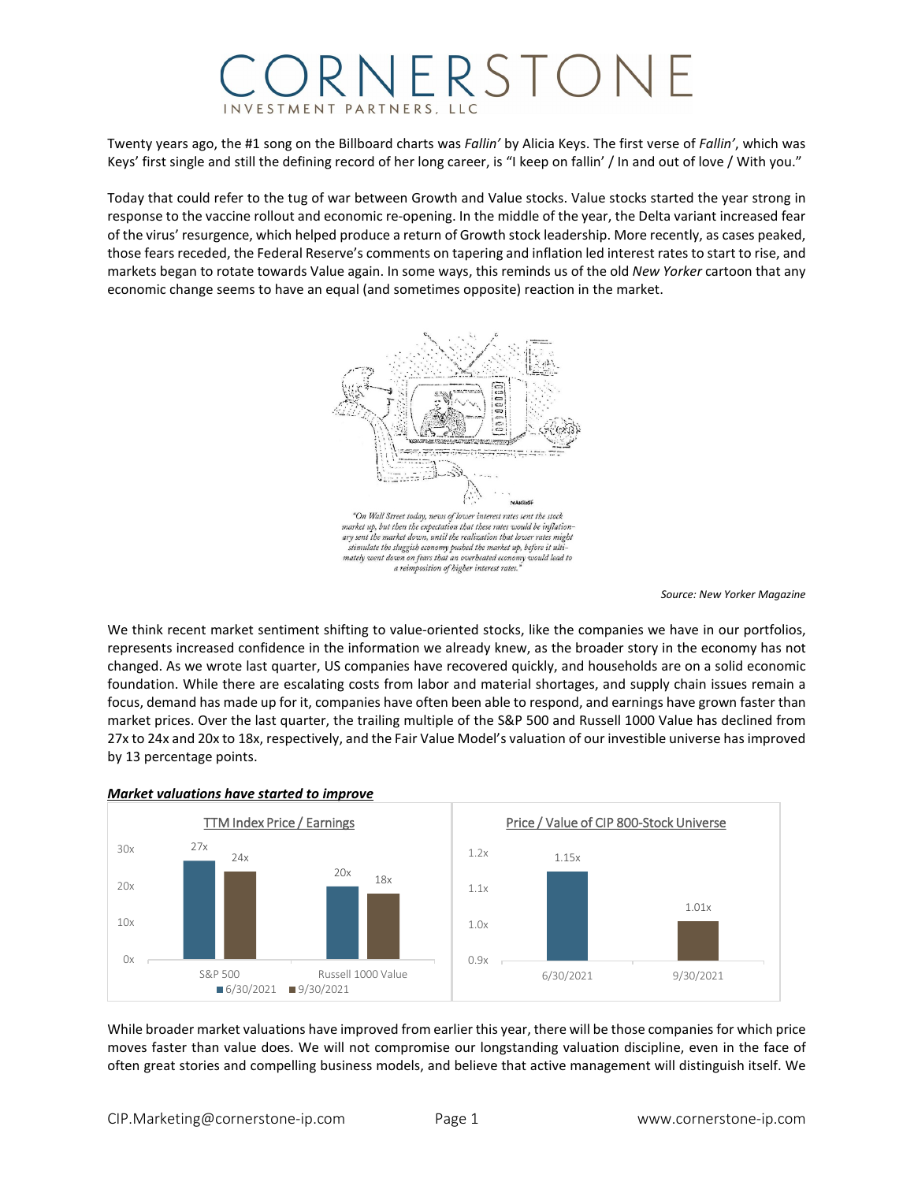## RNERSTOM INVESTMENT PARTNERS

Twenty years ago, the #1 song on the Billboard charts was *Fallin'* by Alicia Keys. The first verse of *Fallin'*, which was Keys' first single and still the defining record of her long career, is "I keep on fallin' / In and out of love / With you."

Today that could refer to the tug of war between Growth and Value stocks. Value stocks started the year strong in response to the vaccine rollout and economic re-opening. In the middle of the year, the Delta variant increased fear of the virus' resurgence, which helped produce a return of Growth stock leadership. More recently, as cases peaked, those fears receded, the Federal Reserve's comments on tapering and inflation led interest rates to start to rise, and markets began to rotate towards Value again. In some ways, this reminds us of the old *New Yorker* cartoon that any economic change seems to have an equal (and sometimes opposite) reaction in the market.



*Source: New Yorker Magazine*

We think recent market sentiment shifting to value-oriented stocks, like the companies we have in our portfolios, represents increased confidence in the information we already knew, as the broader story in the economy has not changed. As we wrote last quarter, US companies have recovered quickly, and households are on a solid economic foundation. While there are escalating costs from labor and material shortages, and supply chain issues remain a focus, demand has made up for it, companies have often been able to respond, and earnings have grown faster than market prices. Over the last quarter, the trailing multiple of the S&P 500 and Russell 1000 Value has declined from 27x to 24x and 20x to 18x, respectively, and the Fair Value Model's valuation of our investible universe has improved by 13 percentage points.



## *Market valuations have started to improve*

While broader market valuations have improved from earlier this year, there will be those companies for which price moves faster than value does. We will not compromise our longstanding valuation discipline, even in the face of often great stories and compelling business models, and believe that active management will distinguish itself. We